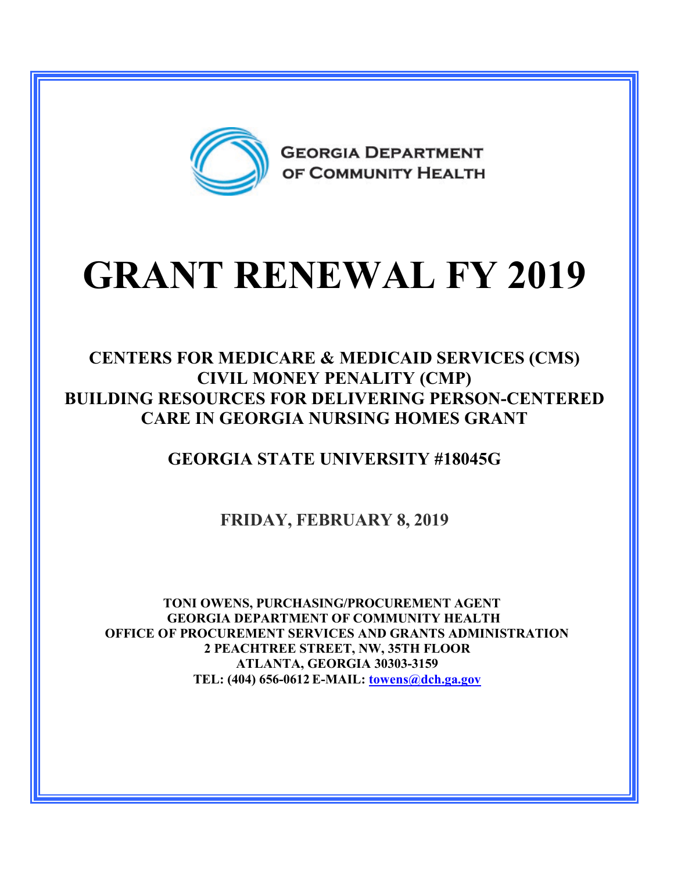

# **GRANT RENEWAL FY 2019**

#### **CENTERS FOR MEDICARE & MEDICAID SERVICES (CMS) CIVIL MONEY PENALITY (CMP) BUILDING RESOURCES FOR DELIVERING PERSON-CENTERED CARE IN GEORGIA NURSING HOMES GRANT**

### **GEORGIA STATE UNIVERSITY #18045G**

**FRIDAY, FEBRUARY 8, 2019**

**TONI OWENS, PURCHASING/PROCUREMENT AGENT GEORGIA DEPARTMENT OF COMMUNITY HEALTH OFFICE OF PROCUREMENT SERVICES AND GRANTS ADMINISTRATION 2 PEACHTREE STREET, NW, 35TH FLOOR ATLANTA, GEORGIA 30303-3159 TEL: (404) 656-0612 E-MAIL: [towens@dch.ga.gov](mailto:towens@dch.ga.gov)**